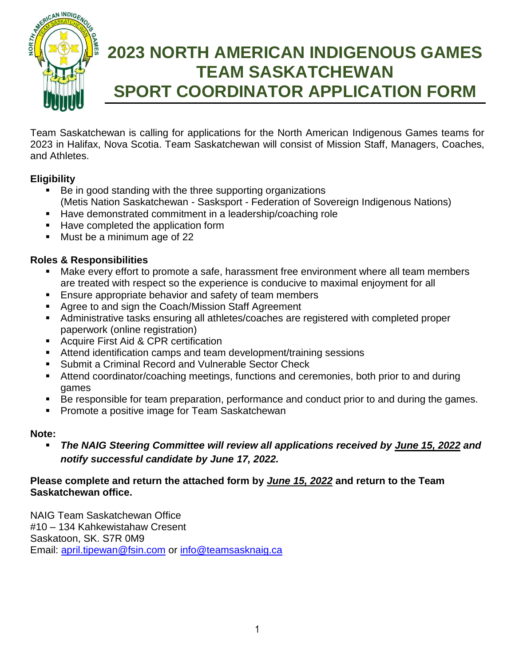

# **2023 NORTH AMERICAN INDIGENOUS GAMES TEAM SASKATCHEWAN SPORT COORDINATOR APPLICATION FORM**

Team Saskatchewan is calling for applications for the North American Indigenous Games teams for 2023 in Halifax, Nova Scotia. Team Saskatchewan will consist of Mission Staff, Managers, Coaches, and Athletes.

## **Eligibility**

- Be in good standing with the three supporting organizations (Metis Nation Saskatchewan - Sasksport - Federation of Sovereign Indigenous Nations)
- Have demonstrated commitment in a leadership/coaching role
- Have completed the application form
- Must be a minimum age of 22

## **Roles & Responsibilities**

- Make every effort to promote a safe, harassment free environment where all team members are treated with respect so the experience is conducive to maximal enjoyment for all
- **Ensure appropriate behavior and safety of team members**
- Agree to and sign the Coach/Mission Staff Agreement
- Administrative tasks ensuring all athletes/coaches are registered with completed proper paperwork (online registration)
- **Acquire First Aid & CPR certification**
- Attend identification camps and team development/training sessions
- Submit a Criminal Record and Vulnerable Sector Check
- Attend coordinator/coaching meetings, functions and ceremonies, both prior to and during games
- Be responsible for team preparation, performance and conduct prior to and during the games.
- Promote a positive image for Team Saskatchewan

### **Note:**

 *The NAIG Steering Committee will review all applications received by June 15, 2022 and notify successful candidate by June 17, 2022.* 

#### **Please complete and return the attached form by** *June 15, 2022* **and return to the Team Saskatchewan office.**

NAIG Team Saskatchewan Office #10 – 134 Kahkewistahaw Cresent Saskatoon, SK. S7R 0M9 Email: [april.tipewan@fsin.com](mailto:april.tipewan@fsin.com) or [info@teamsasknaig.ca](mailto:info@teamsasknaig.ca)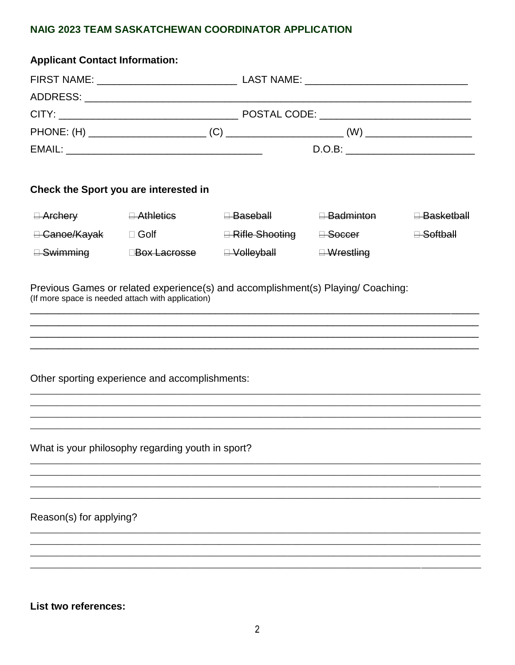## NAIG 2023 TEAM SASKATCHEWAN COORDINATOR APPLICATION

| <b>Applicant Contact Information:</b> |                                                   |                             |                        |                                   |  |  |  |  |
|---------------------------------------|---------------------------------------------------|-----------------------------|------------------------|-----------------------------------|--|--|--|--|
|                                       |                                                   |                             |                        |                                   |  |  |  |  |
|                                       |                                                   |                             |                        |                                   |  |  |  |  |
|                                       |                                                   |                             |                        |                                   |  |  |  |  |
|                                       |                                                   |                             |                        |                                   |  |  |  |  |
|                                       |                                                   |                             |                        |                                   |  |  |  |  |
| Check the Sport you are interested in |                                                   |                             |                        |                                   |  |  |  |  |
| $\Box$ Archery                        | $\Box$ Athletics                                  | <del>⊟ Baseball</del>       | <del>⊟ Badminton</del> | <del>⊟ Basketball</del>           |  |  |  |  |
| <del>□ Canoe/Kayak</del> □ Golf       |                                                   | <del>⊟ Rifle Shooting</del> | <del>⊟ Soccer</del>    | $\overline{\mathsf{H}}$ -Softball |  |  |  |  |
| <del>⊟ Swimming</del>                 | ⊟ <del>Box Lacrosse</del>                         | <del>⊟ Volleyball</del>     | $\exists$ Wrestling    |                                   |  |  |  |  |
|                                       | Other sporting experience and accomplishments:    |                             |                        |                                   |  |  |  |  |
|                                       | What is your philosophy regarding youth in sport? |                             |                        |                                   |  |  |  |  |
|                                       |                                                   |                             |                        |                                   |  |  |  |  |
| Reason(s) for applying?               |                                                   |                             |                        |                                   |  |  |  |  |
|                                       |                                                   |                             |                        |                                   |  |  |  |  |
|                                       |                                                   |                             |                        |                                   |  |  |  |  |
|                                       |                                                   |                             |                        |                                   |  |  |  |  |